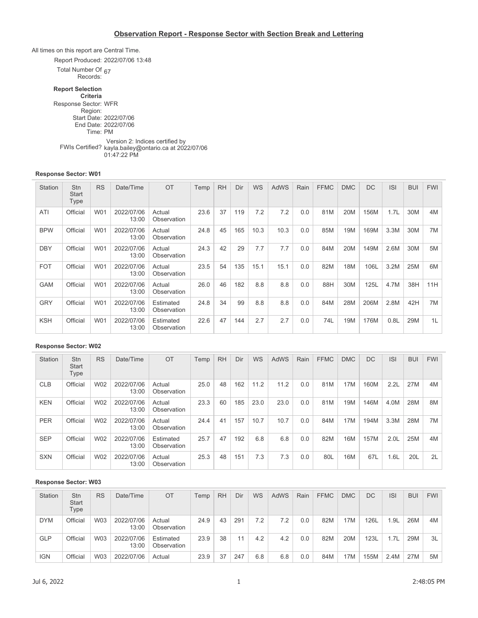### **Observation Report - Response Sector with Section Break and Lettering**

All times on this report are Central Time.

Report Produced: 2022/07/06 13:48

Total Number Of 67

Records:

## **Report Selection**

**Criteria** Response Sector: WFR Region: Start Date: 2022/07/06 End Date: 2022/07/06 Time: PM Version 2: Indices certified by<br>FWIs Certified? kayla.bailey@ontario.ca at 202 kayla.bailey@ontario.ca at 2022/07/06

01:47:22 PM

#### **Response Sector: W01**

| Station    | Stn<br>Start<br>Type | <b>RS</b> | Date/Time           | OT                       | Temp | <b>RH</b> | Dir | <b>WS</b> | <b>AdWS</b> | Rain | <b>FFMC</b> | <b>DMC</b> | DC   | <b>ISI</b> | <b>BUI</b> | <b>FWI</b> |
|------------|----------------------|-----------|---------------------|--------------------------|------|-----------|-----|-----------|-------------|------|-------------|------------|------|------------|------------|------------|
| ATI        | Official             | W01       | 2022/07/06<br>13:00 | Actual<br>Observation    | 23.6 | 37        | 119 | 7.2       | 7.2         | 0.0  | 81M         | 20M        | 156M | 1.7L       | 30M        | 4M         |
| <b>BPW</b> | Official             | W01       | 2022/07/06<br>13:00 | Actual<br>Observation    | 24.8 | 45        | 165 | 10.3      | 10.3        | 0.0  | 85M         | 19M        | 169M | 3.3M       | 30M        | 7M         |
| <b>DBY</b> | Official             | W01       | 2022/07/06<br>13:00 | Actual<br>Observation    | 24.3 | 42        | 29  | 7.7       | 7.7         | 0.0  | 84M         | 20M        | 149M | 2.6M       | 30M        | 5M         |
| <b>FOT</b> | Official             | W01       | 2022/07/06<br>13:00 | Actual<br>Observation    | 23.5 | 54        | 135 | 15.1      | 15.1        | 0.0  | 82M         | 18M        | 106L | 3.2M       | 25M        | 6M         |
| <b>GAM</b> | Official             | W01       | 2022/07/06<br>13:00 | Actual<br>Observation    | 26.0 | 46        | 182 | 8.8       | 8.8         | 0.0  | 88H         | 30M        | 125L | 4.7M       | 38H        | 11H        |
| <b>GRY</b> | Official             | W01       | 2022/07/06<br>13:00 | Estimated<br>Observation | 24.8 | 34        | 99  | 8.8       | 8.8         | 0.0  | 84M         | 28M        | 206M | 2.8M       | 42H        | 7M         |
| <b>KSH</b> | Official             | W01       | 2022/07/06<br>13:00 | Estimated<br>Observation | 22.6 | 47        | 144 | 2.7       | 2.7         | 0.0  | 74L         | 19M        | 176M | 0.8L       | 29M        | 1L         |

#### **Response Sector: W02**

| Station    | Stn<br><b>Start</b><br>Type | <b>RS</b>  | Date/Time           | OT                       | Temp | <b>RH</b> | Dir | <b>WS</b> | <b>AdWS</b> | Rain | <b>FFMC</b> | <b>DMC</b> | <b>DC</b> | <b>ISI</b>       | <b>BUI</b> | <b>FWI</b> |
|------------|-----------------------------|------------|---------------------|--------------------------|------|-----------|-----|-----------|-------------|------|-------------|------------|-----------|------------------|------------|------------|
| <b>CLB</b> | Official                    | <b>W02</b> | 2022/07/06<br>13:00 | Actual<br>Observation    | 25.0 | 48        | 162 | 11.2      | 11.2        | 0.0  | 81M         | 17M        | 160M      | 2.2L             | 27M        | 4M         |
| <b>KEN</b> | Official                    | W02        | 2022/07/06<br>13:00 | Actual<br>Observation    | 23.3 | 60        | 185 | 23.0      | 23.0        | 0.0  | 81M         | 19M        | 146M      | 4.0M             | 28M        | 8M         |
| <b>PER</b> | Official                    | W02        | 2022/07/06<br>13:00 | Actual<br>Observation    | 24.4 | 41        | 157 | 10.7      | 10.7        | 0.0  | 84M         | 17M        | 194M      | 3.3M             | 28M        | 7M         |
| <b>SEP</b> | Official                    | W02        | 2022/07/06<br>13:00 | Estimated<br>Observation | 25.7 | 47        | 192 | 6.8       | 6.8         | 0.0  | 82M         | <b>16M</b> | 157M      | 2.0 <sub>L</sub> | 25M        | 4M         |
| <b>SXN</b> | Official                    | W02        | 2022/07/06<br>13:00 | Actual<br>Observation    | 25.3 | 48        | 151 | 7.3       | 7.3         | 0.0  | 80L         | 16M        | 67L       | 1.6L             | 20L        | 2L         |

#### **Response Sector: W03**

| Station    | Stn<br><b>Start</b><br>Гуре | RS  | Date/Time           | <b>OT</b>                | Temp | <b>RH</b> | Dir | WS  | <b>AdWS</b> | Rain | <b>FFMC</b> | <b>DMC</b> | DC   | <b>ISI</b> | <b>BUI</b> | <b>FWI</b> |
|------------|-----------------------------|-----|---------------------|--------------------------|------|-----------|-----|-----|-------------|------|-------------|------------|------|------------|------------|------------|
| <b>DYM</b> | Official                    | W03 | 2022/07/06<br>13:00 | Actual<br>Observation    | 24.9 | 43        | 291 | 7.2 | 7.2         | 0.0  | 82M         | 17M        | 126L | 1.9L       | 26M        | 4M         |
| <b>GLP</b> | Official                    | W03 | 2022/07/06<br>13:00 | Estimated<br>Observation | 23.9 | 38        | 11  | 4.2 | 4.2         | 0.0  | 82M         | 20M        | 123L | '.7L       | 29M        | -3L        |
| <b>IGN</b> | Official                    | W03 | 2022/07/06          | Actual                   | 23.9 | 37        | 247 | 6.8 | 6.8         | 0.0  | 84M         | 17M        | 155M | 2.4M       | 27M        | 5M         |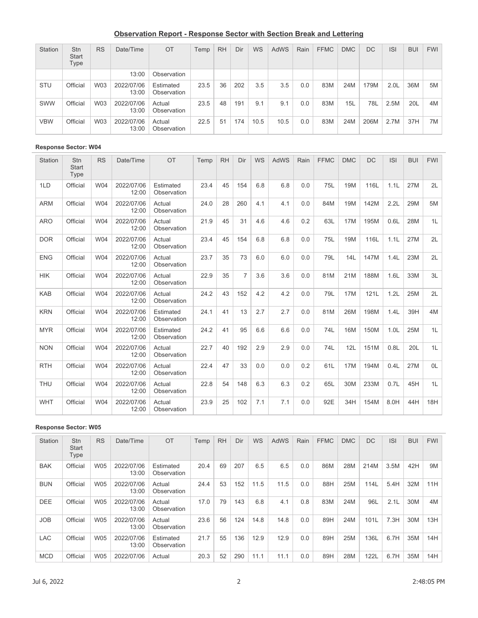# **Observation Report - Response Sector with Section Break and Lettering**

| Station    | Stn<br><b>Start</b><br>Type | <b>RS</b> | Date/Time           | <b>OT</b>                | Temp | <b>RH</b> | Dir | <b>WS</b> | <b>AdWS</b> | Rain | <b>FFMC</b> | <b>DMC</b> | DC.  | <b>ISI</b>       | <b>BUI</b> | <b>FWI</b> |
|------------|-----------------------------|-----------|---------------------|--------------------------|------|-----------|-----|-----------|-------------|------|-------------|------------|------|------------------|------------|------------|
|            |                             |           | 13:00               | Observation              |      |           |     |           |             |      |             |            |      |                  |            |            |
| <b>STU</b> | Official                    | W03       | 2022/07/06<br>13:00 | Estimated<br>Observation | 23.5 | 36        | 202 | 3.5       | 3.5         | 0.0  | 83M         | 24M        | 179M | 2.0 <sub>L</sub> | 36M        | 5M         |
| <b>SWW</b> | Official                    | W03       | 2022/07/06<br>13:00 | Actual<br>Observation    | 23.5 | 48        | 191 | 9.1       | 9.1         | 0.0  | 83M         | 15L        | 78L  | 2.5M             | 20L        | 4M         |
| <b>VBW</b> | Official                    | W03       | 2022/07/06<br>13:00 | Actual<br>Observation    | 22.5 | 51        | 174 | 10.5      | 10.5        | 0.0  | 83M         | 24M        | 206M | 2.7M             | 37H        | 7M         |

### **Response Sector: W04**

| Station    | Stn<br><b>Start</b><br>Type | <b>RS</b> | Date/Time           | OT                       | Temp | <b>RH</b> | Dir            | WS  | <b>AdWS</b> | Rain | <b>FFMC</b> | <b>DMC</b> | <b>DC</b> | <b>ISI</b>       | <b>BUI</b> | <b>FWI</b>     |
|------------|-----------------------------|-----------|---------------------|--------------------------|------|-----------|----------------|-----|-------------|------|-------------|------------|-----------|------------------|------------|----------------|
| 1LD        | Official                    | W04       | 2022/07/06<br>12:00 | Estimated<br>Observation | 23.4 | 45        | 154            | 6.8 | 6.8         | 0.0  | 75L         | 19M        | 116L      | 1.1L             | 27M        | 2L             |
| <b>ARM</b> | Official                    | W04       | 2022/07/06<br>12:00 | Actual<br>Observation    | 24.0 | 28        | 260            | 4.1 | 4.1         | 0.0  | 84M         | 19M        | 142M      | 2.2L             | 29M        | 5M             |
| <b>ARO</b> | Official                    | W04       | 2022/07/06<br>12:00 | Actual<br>Observation    | 21.9 | 45        | 31             | 4.6 | 4.6         | 0.2  | 63L         | 17M        | 195M      | 0.6L             | 28M        | 1L             |
| <b>DOR</b> | Official                    | W04       | 2022/07/06<br>12:00 | Actual<br>Observation    | 23.4 | 45        | 154            | 6.8 | 6.8         | 0.0  | 75L         | 19M        | 116L      | 1.1L             | 27M        | 2L             |
| <b>ENG</b> | Official                    | W04       | 2022/07/06<br>12:00 | Actual<br>Observation    | 23.7 | 35        | 73             | 6.0 | 6.0         | 0.0  | 79L         | 14L        | 147M      | 1.4L             | 23M        | 2L             |
| <b>HIK</b> | Official                    | W04       | 2022/07/06<br>12:00 | Actual<br>Observation    | 22.9 | 35        | $\overline{7}$ | 3.6 | 3.6         | 0.0  | 81M         | 21M        | 188M      | 1.6L             | 33M        | 3L             |
| <b>KAB</b> | Official                    | W04       | 2022/07/06<br>12:00 | Actual<br>Observation    | 24.2 | 43        | 152            | 4.2 | 4.2         | 0.0  | 79L         | 17M        | 121L      | 1.2L             | 25M        | 2L             |
| <b>KRN</b> | Official                    | W04       | 2022/07/06<br>12:00 | Estimated<br>Observation | 24.1 | 41        | 13             | 2.7 | 2.7         | 0.0  | 81M         | 26M        | 198M      | 1.4L             | 39H        | 4M             |
| <b>MYR</b> | Official                    | W04       | 2022/07/06<br>12:00 | Estimated<br>Observation | 24.2 | 41        | 95             | 6.6 | 6.6         | 0.0  | 74L         | <b>16M</b> | 150M      | 1.0 <sub>L</sub> | 25M        | 1L             |
| <b>NON</b> | Official                    | W04       | 2022/07/06<br>12:00 | Actual<br>Observation    | 22.7 | 40        | 192            | 2.9 | 2.9         | 0.0  | 74L         | 12L        | 151M      | 0.8L             | 20L        | 1L             |
| <b>RTH</b> | Official                    | W04       | 2022/07/06<br>12:00 | Actual<br>Observation    | 22.4 | 47        | 33             | 0.0 | 0.0         | 0.2  | 61L         | <b>17M</b> | 194M      | 0.4L             | 27M        | 0 <sub>L</sub> |
| <b>THU</b> | Official                    | W04       | 2022/07/06<br>12:00 | Actual<br>Observation    | 22.8 | 54        | 148            | 6.3 | 6.3         | 0.2  | 65L         | 30M        | 233M      | 0.7L             | 45H        | 1L             |
| <b>WHT</b> | Official                    | W04       | 2022/07/06<br>12:00 | Actual<br>Observation    | 23.9 | 25        | 102            | 7.1 | 7.1         | 0.0  | 92E         | 34H        | 154M      | 8.0H             | 44H        | 18H            |

### **Response Sector: W05**

| Station    | Stn<br>Start<br>Type | <b>RS</b>  | Date/Time           | OT                       | Temp | <b>RH</b> | Dir | <b>WS</b> | <b>AdWS</b> | Rain | <b>FFMC</b> | <b>DMC</b> | DC   | <b>ISI</b> | <b>BUI</b> | <b>FWI</b> |
|------------|----------------------|------------|---------------------|--------------------------|------|-----------|-----|-----------|-------------|------|-------------|------------|------|------------|------------|------------|
| <b>BAK</b> | Official             | <b>W05</b> | 2022/07/06<br>13:00 | Estimated<br>Observation | 20.4 | 69        | 207 | 6.5       | 6.5         | 0.0  | 86M         | 28M        | 214M | 3.5M       | 42H        | 9M         |
| <b>BUN</b> | Official             | <b>W05</b> | 2022/07/06<br>13:00 | Actual<br>Observation    | 24.4 | 53        | 152 | 11.5      | 11.5        | 0.0  | 88H         | 25M        | 114L | 5.4H       | 32M        | 11H        |
| <b>DEE</b> | Official             | <b>W05</b> | 2022/07/06<br>13:00 | Actual<br>Observation    | 17.0 | 79        | 143 | 6.8       | 4.1         | 0.8  | 83M         | 24M        | 96L  | 2.1L       | 30M        | 4M         |
| <b>JOB</b> | Official             | W05        | 2022/07/06<br>13:00 | Actual<br>Observation    | 23.6 | 56        | 124 | 14.8      | 14.8        | 0.0  | 89H         | 24M        | 101L | 7.3H       | 30M        | 13H        |
| <b>LAC</b> | Official             | W05        | 2022/07/06<br>13:00 | Estimated<br>Observation | 21.7 | 55        | 136 | 12.9      | 12.9        | 0.0  | 89H         | 25M        | 136L | 6.7H       | 35M        | 14H        |
| <b>MCD</b> | Official             | <b>W05</b> | 2022/07/06          | Actual                   | 20.3 | 52        | 290 | 11.1      | 11.1        | 0.0  | 89H         | 28M        | 122L | 6.7H       | 35M        | 14H        |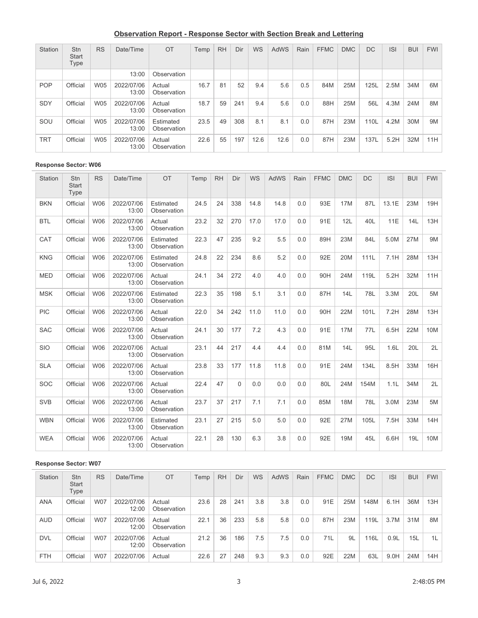## **Observation Report - Response Sector with Section Break and Lettering**

| Station    | Stn<br>Start<br>Type | <b>RS</b>  | Date/Time           | OT                       | Temp | <b>RH</b> | Dir | <b>WS</b> | <b>AdWS</b> | Rain | <b>FFMC</b> | <b>DMC</b> | <b>DC</b> | <b>ISI</b> | <b>BUI</b> | <b>FWI</b> |
|------------|----------------------|------------|---------------------|--------------------------|------|-----------|-----|-----------|-------------|------|-------------|------------|-----------|------------|------------|------------|
|            |                      |            | 13:00               | Observation              |      |           |     |           |             |      |             |            |           |            |            |            |
| <b>POP</b> | Official             | <b>W05</b> | 2022/07/06<br>13:00 | Actual<br>Observation    | 16.7 | 81        | 52  | 9.4       | 5.6         | 0.5  | 84M         | 25M        | 125L      | 2.5M       | 34M        | 6M         |
| <b>SDY</b> | Official             | <b>W05</b> | 2022/07/06<br>13:00 | Actual<br>Observation    | 18.7 | 59        | 241 | 9.4       | 5.6         | 0.0  | 88H         | 25M        | 56L       | 4.3M       | 24M        | 8M         |
| SOU        | Official             | <b>W05</b> | 2022/07/06<br>13:00 | Estimated<br>Observation | 23.5 | 49        | 308 | 8.1       | 8.1         | 0.0  | 87H         | 23M        | 110L      | 4.2M       | 30M        | 9M         |
| <b>TRT</b> | Official             | <b>W05</b> | 2022/07/06<br>13:00 | Actual<br>Observation    | 22.6 | 55        | 197 | 12.6      | 12.6        | 0.0  | 87H         | 23M        | 137L      | 5.2H       | 32M        | 11H        |

## **Response Sector: W06**

| Station    | Stn<br><b>Start</b><br>Type | <b>RS</b>  | Date/Time           | OT                       | Temp | <b>RH</b> | Dir      | WS   | <b>AdWS</b> | Rain | <b>FFMC</b> | <b>DMC</b> | <b>DC</b> | <b>ISI</b> | <b>BUI</b> | <b>FWI</b> |
|------------|-----------------------------|------------|---------------------|--------------------------|------|-----------|----------|------|-------------|------|-------------|------------|-----------|------------|------------|------------|
| <b>BKN</b> | Official                    | W06        | 2022/07/06<br>13:00 | Estimated<br>Observation | 24.5 | 24        | 338      | 14.8 | 14.8        | 0.0  | 93E         | 17M        | 87L       | 13.1E      | 23M        | 19H        |
| <b>BTL</b> | Official                    | W06        | 2022/07/06<br>13:00 | Actual<br>Observation    | 23.2 | 32        | 270      | 17.0 | 17.0        | 0.0  | 91E         | 12L        | 40L       | 11E        | 14L        | 13H        |
| CAT        | Official                    | <b>W06</b> | 2022/07/06<br>13:00 | Estimated<br>Observation | 22.3 | 47        | 235      | 9.2  | 5.5         | 0.0  | 89H         | 23M        | 84L       | 5.0M       | 27M        | 9M         |
| <b>KNG</b> | Official                    | W06        | 2022/07/06<br>13:00 | Estimated<br>Observation | 24.8 | 22        | 234      | 8.6  | 5.2         | 0.0  | 92E         | 20M        | 111L      | 7.1H       | 28M        | 13H        |
| <b>MED</b> | Official                    | <b>W06</b> | 2022/07/06<br>13:00 | Actual<br>Observation    | 24.1 | 34        | 272      | 4.0  | 4.0         | 0.0  | 90H         | 24M        | 119L      | 5.2H       | 32M        | 11H        |
| <b>MSK</b> | Official                    | <b>W06</b> | 2022/07/06<br>13:00 | Estimated<br>Observation | 22.3 | 35        | 198      | 5.1  | 3.1         | 0.0  | 87H         | 14L        | 78L       | 3.3M       | 20L        | 5M         |
| <b>PIC</b> | Official                    | W06        | 2022/07/06<br>13:00 | Actual<br>Observation    | 22.0 | 34        | 242      | 11.0 | 11.0        | 0.0  | 90H         | 22M        | 101L      | 7.2H       | 28M        | 13H        |
| <b>SAC</b> | Official                    | W06        | 2022/07/06<br>13:00 | Actual<br>Observation    | 24.1 | 30        | 177      | 7.2  | 4.3         | 0.0  | 91E         | 17M        | 77L       | 6.5H       | 22M        | 10M        |
| <b>SIO</b> | Official                    | W06        | 2022/07/06<br>13:00 | Actual<br>Observation    | 23.1 | 44        | 217      | 4.4  | 4.4         | 0.0  | 81M         | 14L        | 95L       | 1.6L       | 20L        | 2L         |
| <b>SLA</b> | Official                    | W06        | 2022/07/06<br>13:00 | Actual<br>Observation    | 23.8 | 33        | 177      | 11.8 | 11.8        | 0.0  | 91E         | 24M        | 134L      | 8.5H       | 33M        | 16H        |
| <b>SOC</b> | Official                    | <b>W06</b> | 2022/07/06<br>13:00 | Actual<br>Observation    | 22.4 | 47        | $\Omega$ | 0.0  | 0.0         | 0.0  | 80L         | 24M        | 154M      | 1.1L       | 34M        | 2L         |
| <b>SVB</b> | Official                    | <b>W06</b> | 2022/07/06<br>13:00 | Actual<br>Observation    | 23.7 | 37        | 217      | 7.1  | 7.1         | 0.0  | 85M         | <b>18M</b> | 78L       | 3.0M       | 23M        | 5M         |
| <b>WBN</b> | Official                    | W06        | 2022/07/06<br>13:00 | Estimated<br>Observation | 23.1 | 27        | 215      | 5.0  | 5.0         | 0.0  | 92E         | 27M        | 105L      | 7.5H       | 33M        | 14H        |
| <b>WEA</b> | Official                    | W06        | 2022/07/06<br>13:00 | Actual<br>Observation    | 22.1 | 28        | 130      | 6.3  | 3.8         | 0.0  | 92E         | 19M        | 45L       | 6.6H       | 19L        | 10M        |

## **Response Sector: W07**

| Station    | Stn<br><b>Start</b><br>Type | <b>RS</b>  | Date/Time           | OT                    | Temp | <b>RH</b> | Dir | <b>WS</b> | <b>AdWS</b> | Rain | <b>FFMC</b> | <b>DMC</b> | DC   | <b>ISI</b> | <b>BUI</b> | <b>FWI</b> |
|------------|-----------------------------|------------|---------------------|-----------------------|------|-----------|-----|-----------|-------------|------|-------------|------------|------|------------|------------|------------|
| <b>ANA</b> | Official                    | <b>W07</b> | 2022/07/06<br>12:00 | Actual<br>Observation | 23.6 | 28        | 241 | 3.8       | 3.8         | 0.0  | 91E         | 25M        | 148M | 6.1H       | 36M        | 13H        |
| <b>AUD</b> | Official                    | <b>W07</b> | 2022/07/06<br>12:00 | Actual<br>Observation | 22.1 | 36        | 233 | 5.8       | 5.8         | 0.0  | 87H         | 23M        | 119L | 3.7M       | 31M        | 8M         |
| <b>DVL</b> | Official                    | <b>W07</b> | 2022/07/06<br>12:00 | Actual<br>Observation | 21.2 | 36        | 186 | 7.5       | 7.5         | 0.0  | 71L         | 9L         | 116L | 0.9L       | 15L        | 1L         |
| <b>FTH</b> | Official                    | <b>W07</b> | 2022/07/06          | Actual                | 22.6 | 27        | 248 | 9.3       | 9.3         | 0.0  | 92E         | 22M        | 63L  | 9.0H       | 24M        | 14H        |